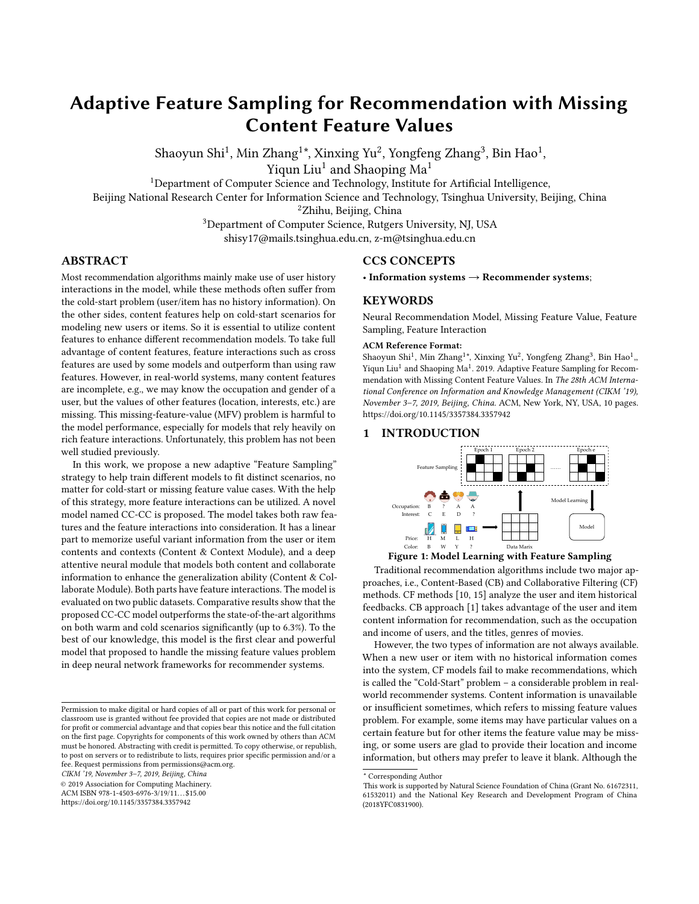# Adaptive Feature Sampling for Recommendation with Missing Content Feature Values

Shaoyun Shi<sup>1</sup>, Min Zhang<sup>1\*</sup>, Xinxing Yu<sup>2</sup>, Yongfeng Zhang<sup>3</sup>, Bin Hao<sup>1</sup>, Yiqun  $\rm Liu^1$  and Shaoping  $\rm Ma^1$ 

 $1$ Department of Computer Science and Technology, Institute for Artificial Intelligence,

Beijing National Research Center for Information Science and Technology, Tsinghua University, Beijing, China

<sup>2</sup>Zhihu, Beijing, China

<sup>3</sup>Department of Computer Science, Rutgers University, NJ, USA

shisy17@mails.tsinghua.edu.cn, z-m@tsinghua.edu.cn

# ABSTRACT

Most recommendation algorithms mainly make use of user history interactions in the model, while these methods often suffer from the cold-start problem (user/item has no history information). On the other sides, content features help on cold-start scenarios for modeling new users or items. So it is essential to utilize content features to enhance different recommendation models. To take full advantage of content features, feature interactions such as cross features are used by some models and outperform than using raw features. However, in real-world systems, many content features are incomplete, e.g., we may know the occupation and gender of a user, but the values of other features (location, interests, etc.) are missing. This missing-feature-value (MFV) problem is harmful to the model performance, especially for models that rely heavily on rich feature interactions. Unfortunately, this problem has not been well studied previously.

In this work, we propose a new adaptive "Feature Sampling" strategy to help train different models to fit distinct scenarios, no matter for cold-start or missing feature value cases. With the help of this strategy, more feature interactions can be utilized. A novel model named CC-CC is proposed. The model takes both raw features and the feature interactions into consideration. It has a linear part to memorize useful variant information from the user or item contents and contexts (Content & Context Module), and a deep attentive neural module that models both content and collaborate information to enhance the generalization ability (Content & Collaborate Module). Both parts have feature interactions. The model is evaluated on two public datasets. Comparative results show that the proposed CC-CC model outperforms the state-of-the-art algorithms on both warm and cold scenarios significantly (up to 6.3%). To the best of our knowledge, this model is the first clear and powerful model that proposed to handle the missing feature values problem in deep neural network frameworks for recommender systems.

CIKM '19, November 3–7, 2019, Beijing, China

© 2019 Association for Computing Machinery.

ACM ISBN 978-1-4503-6976-3/19/11...\$15.00

<https://doi.org/10.1145/3357384.3357942>

#### CCS CONCEPTS

• Information systems  $\rightarrow$  Recommender systems;

## **KEYWORDS**

Neural Recommendation Model, Missing Feature Value, Feature Sampling, Feature Interaction

#### ACM Reference Format:

Shaoyun Shi<sup>1</sup>, Min Zhang<sup>1\*</sup>, Xinxing Yu<sup>2</sup>, Yongfeng Zhang<sup>3</sup>, Bin Hao<sup>1</sup>,, Yiqun Liu $^1$  and Shaoping Ma $^1$ . 2019. Adaptive Feature Sampling for Recommendation with Missing Content Feature Values. In The 28th ACM International Conference on Information and Knowledge Management (CIKM '19), November 3–7, 2019, Beijing, China. ACM, New York, NY, USA, [10](#page-9-0) pages. <https://doi.org/10.1145/3357384.3357942>

#### <span id="page-0-2"></span>[1](#page-0-1) INTRODUCTION



Figure 1: Model Learning with Feature Sampling

Traditional recommendation algorithms include two major approaches, i.e., Content-Based (CB) and Collaborative Filtering (CF) methods. CF methods [\[10,](#page-9-1) [15\]](#page-9-2) analyze the user and item historical feedbacks. CB approach [\[1\]](#page-9-3) takes advantage of the user and item content information for recommendation, such as the occupation and income of users, and the titles, genres of movies.

However, the two types of information are not always available. When a new user or item with no historical information comes into the system, CF models fail to make recommendations, which is called the "Cold-Start" problem – a considerable problem in realworld recommender systems. Content information is unavailable or insufficient sometimes, which refers to missing feature values problem. For example, some items may have particular values on a certain feature but for other items the feature value may be missing, or some users are glad to provide their location and income information, but others may prefer to leave it blank. Although the

Permission to make digital or hard copies of all or part of this work for personal or classroom use is granted without fee provided that copies are not made or distributed for profit or commercial advantage and that copies bear this notice and the full citation on the first page. Copyrights for components of this work owned by others than ACM must be honored. Abstracting with credit is permitted. To copy otherwise, or republish, to post on servers or to redistribute to lists, requires prior specific permission and/or a fee. Request permissions from permissions@acm.org.

<span id="page-0-0"></span><sup>\*</sup> Corresponding Author

<span id="page-0-1"></span>This work is supported by Natural Science Foundation of China (Grant No. 61672311, 61532011) and the National Key Research and Development Program of China (2018YFC0831900).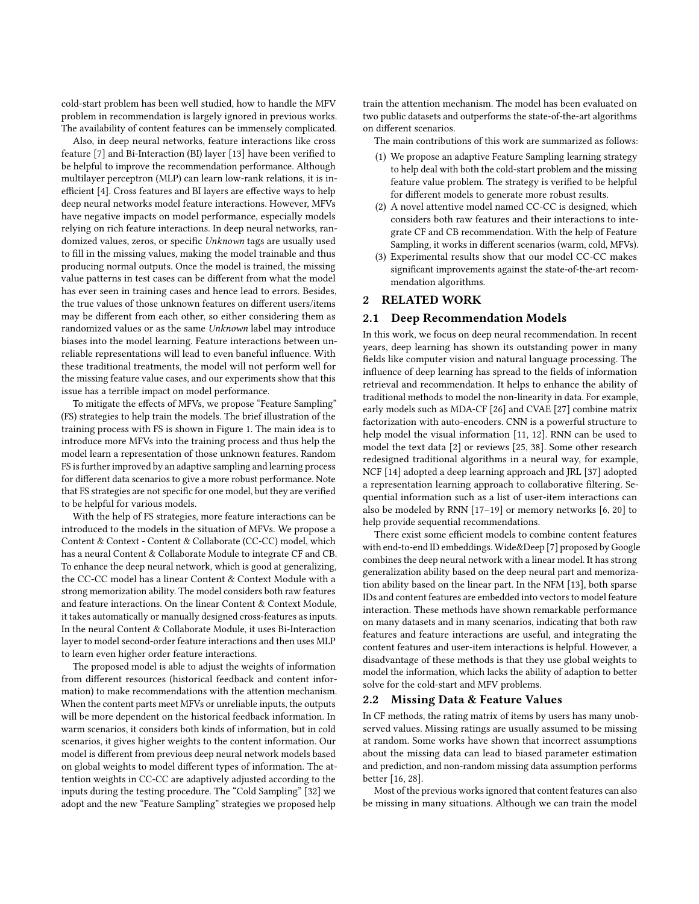cold-start problem has been well studied, how to handle the MFV problem in recommendation is largely ignored in previous works. The availability of content features can be immensely complicated.

Also, in deep neural networks, feature interactions like cross feature [\[7\]](#page-9-4) and Bi-Interaction (BI) layer [\[13\]](#page-9-5) have been verified to be helpful to improve the recommendation performance. Although multilayer perceptron (MLP) can learn low-rank relations, it is inefficient [\[4\]](#page-9-6). Cross features and BI layers are effective ways to help deep neural networks model feature interactions. However, MFVs have negative impacts on model performance, especially models relying on rich feature interactions. In deep neural networks, randomized values, zeros, or specific Unknown tags are usually used to fill in the missing values, making the model trainable and thus producing normal outputs. Once the model is trained, the missing value patterns in test cases can be different from what the model has ever seen in training cases and hence lead to errors. Besides, the true values of those unknown features on different users/items may be different from each other, so either considering them as randomized values or as the same Unknown label may introduce biases into the model learning. Feature interactions between unreliable representations will lead to even baneful influence. With these traditional treatments, the model will not perform well for the missing feature value cases, and our experiments show that this issue has a terrible impact on model performance.

To mitigate the effects of MFVs, we propose "Feature Sampling" (FS) strategies to help train the models. The brief illustration of the training process with FS is shown in Figure [1.](#page-0-2) The main idea is to introduce more MFVs into the training process and thus help the model learn a representation of those unknown features. Random FS is further improved by an adaptive sampling and learning process for different data scenarios to give a more robust performance. Note that FS strategies are not specific for one model, but they are verified to be helpful for various models.

With the help of FS strategies, more feature interactions can be introduced to the models in the situation of MFVs. We propose a Content & Context - Content & Collaborate (CC-CC) model, which has a neural Content & Collaborate Module to integrate CF and CB. To enhance the deep neural network, which is good at generalizing, the CC-CC model has a linear Content & Context Module with a strong memorization ability. The model considers both raw features and feature interactions. On the linear Content & Context Module, it takes automatically or manually designed cross-features as inputs. In the neural Content & Collaborate Module, it uses Bi-Interaction layer to model second-order feature interactions and then uses MLP to learn even higher order feature interactions.

The proposed model is able to adjust the weights of information from different resources (historical feedback and content information) to make recommendations with the attention mechanism. When the content parts meet MFVs or unreliable inputs, the outputs will be more dependent on the historical feedback information. In warm scenarios, it considers both kinds of information, but in cold scenarios, it gives higher weights to the content information. Our model is different from previous deep neural network models based on global weights to model different types of information. The attention weights in CC-CC are adaptively adjusted according to the inputs during the testing procedure. The "Cold Sampling" [\[32\]](#page-9-7) we adopt and the new "Feature Sampling" strategies we proposed help

train the attention mechanism. The model has been evaluated on two public datasets and outperforms the state-of-the-art algorithms on different scenarios.

The main contributions of this work are summarized as follows:

- (1) We propose an adaptive Feature Sampling learning strategy to help deal with both the cold-start problem and the missing feature value problem. The strategy is verified to be helpful for different models to generate more robust results.
- (2) A novel attentive model named CC-CC is designed, which considers both raw features and their interactions to integrate CF and CB recommendation. With the help of Feature Sampling, it works in different scenarios (warm, cold, MFVs).
- (3) Experimental results show that our model CC-CC makes significant improvements against the state-of-the-art recommendation algorithms.

## 2 RELATED WORK

#### 2.1 Deep Recommendation Models

In this work, we focus on deep neural recommendation. In recent years, deep learning has shown its outstanding power in many fields like computer vision and natural language processing. The influence of deep learning has spread to the fields of information retrieval and recommendation. It helps to enhance the ability of traditional methods to model the non-linearity in data. For example, early models such as MDA-CF [\[26\]](#page-9-8) and CVAE [\[27\]](#page-9-9) combine matrix factorization with auto-encoders. CNN is a powerful structure to help model the visual information [\[11,](#page-9-10) [12\]](#page-9-11). RNN can be used to model the text data [\[2\]](#page-9-12) or reviews [\[25,](#page-9-13) [38\]](#page-9-14). Some other research redesigned traditional algorithms in a neural way, for example, NCF [\[14\]](#page-9-15) adopted a deep learning approach and JRL [\[37\]](#page-9-16) adopted a representation learning approach to collaborative filtering. Sequential information such as a list of user-item interactions can also be modeled by RNN [\[17](#page-9-17)[–19\]](#page-9-18) or memory networks [\[6,](#page-9-19) [20\]](#page-9-20) to help provide sequential recommendations.

There exist some efficient models to combine content features with end-to-end ID embeddings. Wide&Deep [\[7\]](#page-9-4) proposed by Google combines the deep neural network with a linear model. It has strong generalization ability based on the deep neural part and memorization ability based on the linear part. In the NFM [\[13\]](#page-9-5), both sparse IDs and content features are embedded into vectors to model feature interaction. These methods have shown remarkable performance on many datasets and in many scenarios, indicating that both raw features and feature interactions are useful, and integrating the content features and user-item interactions is helpful. However, a disadvantage of these methods is that they use global weights to model the information, which lacks the ability of adaption to better solve for the cold-start and MFV problems.

#### 2.2 Missing Data & Feature Values

In CF methods, the rating matrix of items by users has many unobserved values. Missing ratings are usually assumed to be missing at random. Some works have shown that incorrect assumptions about the missing data can lead to biased parameter estimation and prediction, and non-random missing data assumption performs better [\[16,](#page-9-21) [28\]](#page-9-22).

Most of the previous works ignored that content features can also be missing in many situations. Although we can train the model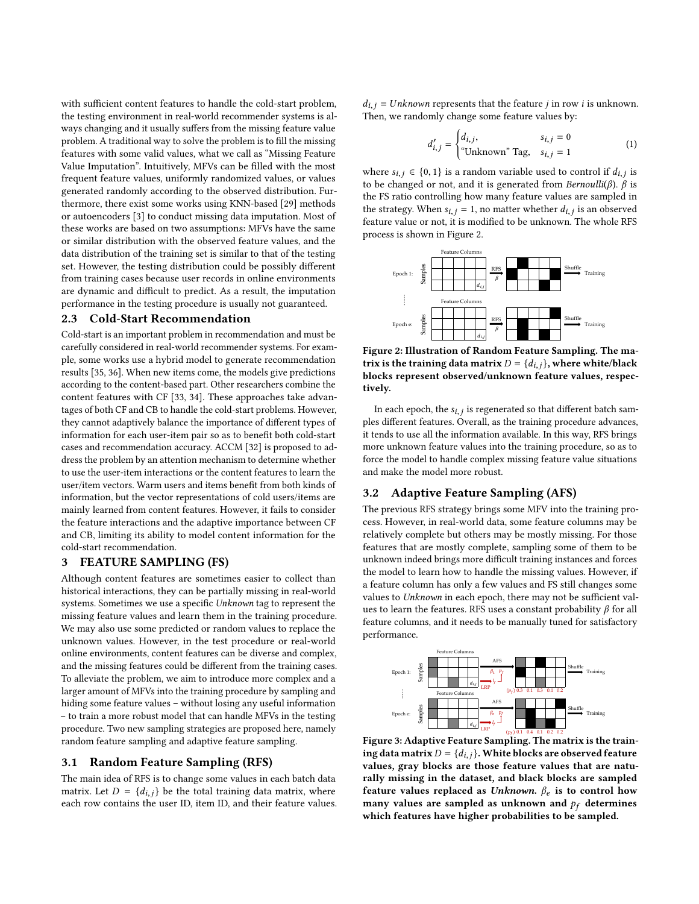with sufficient content features to handle the cold-start problem, the testing environment in real-world recommender systems is always changing and it usually suffers from the missing feature value problem. A traditional way to solve the problem is to fill the missing features with some valid values, what we call as "Missing Feature Value Imputation". Intuitively, MFVs can be filled with the most frequent feature values, uniformly randomized values, or values generated randomly according to the observed distribution. Furthermore, there exist some works using KNN-based [\[29\]](#page-9-23) methods or autoencoders [\[3\]](#page-9-24) to conduct missing data imputation. Most of these works are based on two assumptions: MFVs have the same or similar distribution with the observed feature values, and the data distribution of the training set is similar to that of the testing set. However, the testing distribution could be possibly different from training cases because user records in online environments are dynamic and difficult to predict. As a result, the imputation performance in the testing procedure is usually not guaranteed.

## 2.3 Cold-Start Recommendation

Cold-start is an important problem in recommendation and must be carefully considered in real-world recommender systems. For example, some works use a hybrid model to generate recommendation results [\[35,](#page-9-25) [36\]](#page-9-26). When new items come, the models give predictions according to the content-based part. Other researchers combine the content features with CF [\[33,](#page-9-27) [34\]](#page-9-28). These approaches take advantages of both CF and CB to handle the cold-start problems. However, they cannot adaptively balance the importance of different types of information for each user-item pair so as to benefit both cold-start cases and recommendation accuracy. ACCM [\[32\]](#page-9-7) is proposed to address the problem by an attention mechanism to determine whether to use the user-item interactions or the content features to learn the user/item vectors. Warm users and items benefit from both kinds of information, but the vector representations of cold users/items are mainly learned from content features. However, it fails to consider the feature interactions and the adaptive importance between CF and CB, limiting its ability to model content information for the cold-start recommendation.

#### 3 FEATURE SAMPLING (FS)

Although content features are sometimes easier to collect than historical interactions, they can be partially missing in real-world systems. Sometimes we use a specific Unknown tag to represent the missing feature values and learn them in the training procedure. We may also use some predicted or random values to replace the unknown values. However, in the test procedure or real-world online environments, content features can be diverse and complex, and the missing features could be different from the training cases. To alleviate the problem, we aim to introduce more complex and a larger amount of MFVs into the training procedure by sampling and hiding some feature values – without losing any useful information – to train a more robust model that can handle MFVs in the testing procedure. Two new sampling strategies are proposed here, namely random feature sampling and adaptive feature sampling.

#### 3.1 Random Feature Sampling (RFS)

The main idea of RFS is to change some values in each batch data matrix. Let  $D = \{d_{i,j}\}\$ be the total training data matrix, where each row contains the user ID, item ID, and their feature values.

 $d_{i,j} = Unknown$  represents that the feature j in row i is unknown. Then, we randomly change some feature values by:

$$
d'_{i,j} = \begin{cases} d_{i,j}, & s_{i,j} = 0\\ \text{"Unknown" Tag,} & s_{i,j} = 1 \end{cases}
$$
 (1)

where  $s_{i,j} \in \{0,1\}$  is a random variable used to control if  $d_{i,j}$  is<br>to be changed or not, and it is generated from Bernaulli(B), B is to be changed or not, and it is generated from Bernoulli(β).  $β$  is the FS ratio controlling how many feature values are sampled in the strategy. When  $s_{i,j} = 1$ , no matter whether  $d_{i,j}$  is an observed feature value or not it is modified to be unknown. The whole PFS feature value or not, it is modified to be unknown. The whole RFS process is shown in Figure [2.](#page-2-0)

<span id="page-2-0"></span>

Figure 2: Illustration of Random Feature Sampling. The matrix is the training data matrix  $D = \{d_{i,j}\}\$ , where white/black blocks represent observed/unknown feature values, respectively.

In each epoch, the  $s_{i,j}$  is regenerated so that different batch sam-<br>is different features. Overall, as the training procedure advances. ples different features. Overall, as the training procedure advances, it tends to use all the information available. In this way, RFS brings more unknown feature values into the training procedure, so as to force the model to handle complex missing feature value situations and make the model more robust.

#### 3.2 Adaptive Feature Sampling (AFS)

The previous RFS strategy brings some MFV into the training process. However, in real-world data, some feature columns may be relatively complete but others may be mostly missing. For those features that are mostly complete, sampling some of them to be unknown indeed brings more difficult training instances and forces the model to learn how to handle the missing values. However, if a feature column has only a few values and FS still changes some values to Unknown in each epoch, there may not be sufficient values to learn the features. RFS uses a constant probability  $\beta$  for all feature columns, and it needs to be manually tuned for satisfactory performance.

<span id="page-2-1"></span>

 $\mathbb{F}_q^{(p)}$  and a denote the section of  $p$  and  $p$  and  $p$  and  $p$  are  $p$  and  $p$  are  $p$  are  $p$  are  $p$  are  $p$  and  $p$  are  $p$  are  $p$  are  $p$  and  $p$  are  $p$  are  $p$  are  $p$  are  $p$  and  $p$  are  $p$  are  $p$  are  $p$ ing data matrix $D = \{d_{i,j}\}$ . White blocks are observed feature values, gray blocks are those feature values that are naturally missing in the dataset, and black blocks are sampled feature values replaced as Unknown.  $\beta_e$  is to control how many values are sampled as unknown and  $p_f$  determines which features have higher probabilities to be sampled.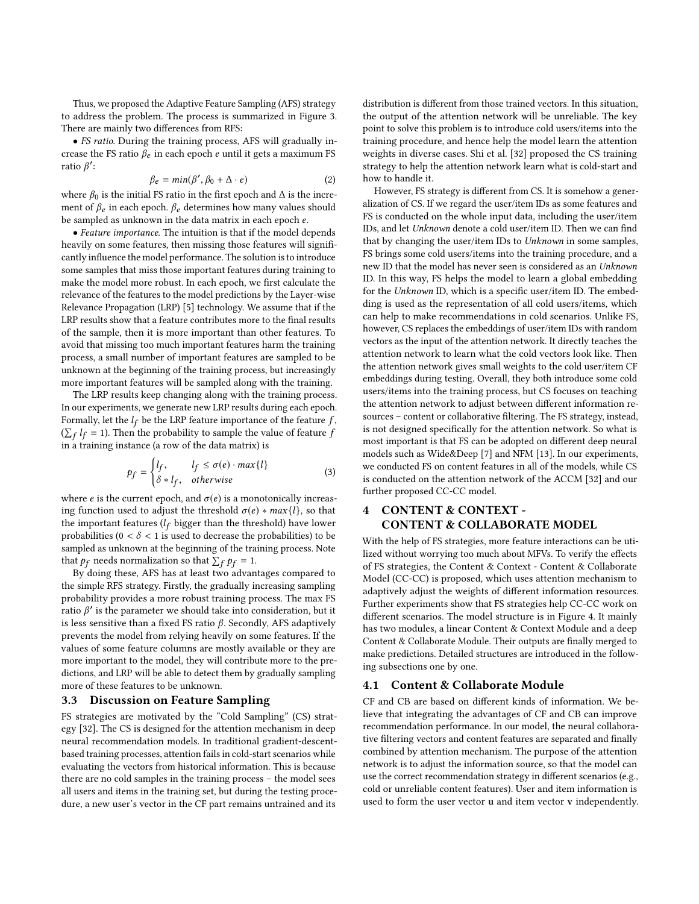Thus, we proposed the Adaptive Feature Sampling (AFS) strategy to address the problem. The process is summarized in Figure [3.](#page-2-1) There are mainly two differences from RFS:

• FS ratio. During the training process, AFS will gradually increase the FS ratio  $\beta_e$  in each epoch e until it gets a maximum FS ratio  $\beta'$ :

$$
\beta_e = \min(\beta', \beta_0 + \Delta \cdot e) \tag{2}
$$

where  $\beta_0$  is the initial FS ratio in the first epoch and  $\Delta$  is the incre-<br>ment of  $\beta$ , in each epoch  $\beta$ , determines how many values should ment of  $\beta_e$  in each epoch.  $\beta_e$  determines how many values should be sampled as unknown in the data matrix in each epoch e.

• Feature importance. The intuition is that if the model depends heavily on some features, then missing those features will significantly influence the model performance. The solution is to introduce some samples that miss those important features during training to make the model more robust. In each epoch, we first calculate the relevance of the features to the model predictions by the Layer-wise Relevance Propagation (LRP) [\[5\]](#page-9-29) technology. We assume that if the LRP results show that a feature contributes more to the final results of the sample, then it is more important than other features. To avoid that missing too much important features harm the training process, a small number of important features are sampled to be unknown at the beginning of the training process, but increasingly more important features will be sampled along with the training.

The LRP results keep changing along with the training process. In our experiments, we generate new LRP results during each epoch. Formally, let the  $l_f$  be the LRP feature importance of the feature  $f$ ,  $(\nabla \circ l_f - 1)$ . Then the probability to sample the value of feature f  $(\sum_f l_f = 1)$ . Then the probability to sample the value of feature f<br>in a training instance (a row of the data matrix) is  $\sum_{i=1}^{n}$  in a training instance (a row of the data matrix) is

$$
p_f = \begin{cases} l_f, & l_f \le \sigma(e) \cdot \max\{l\} \\ \delta * l_f, & otherwise \end{cases}
$$
 (3)

where *e* is the current epoch, and  $\sigma(e)$  is a monotonically increasing function used to adjust the threshold  $\sigma(e) * max\{l\}$ , so that the important features ( $l_f$  bigger than the threshold) have lower<br>probabilities (0 <  $\delta$  < 1 is used to decrease the probabilities) to be probabilities ( $0 < \delta < 1$  is used to decrease the probabilities) to be sampled as unknown at the beginning of the training process. Note that  $p_f$  needs normalization so that  $\sum_f p_f = 1$ .<br>By doing these AFS has at least two advant

By doing these, AFS has at least two advantages compared to the simple RFS strategy. Firstly, the gradually increasing sampling probability provides a more robust training process. The max FS ratio  $\beta'$  is the parameter we should take into consideration, but it is less sensitive than a fixed ES ratio  $\beta$ . Secondly, AES adaptively is less sensitive than a fixed FS ratio  $\beta$ . Secondly, AFS adaptively prevents the model from relying heavily on some features. If the values of some feature columns are mostly available or they are more important to the model, they will contribute more to the predictions, and LRP will be able to detect them by gradually sampling more of these features to be unknown.

#### 3.3 Discussion on Feature Sampling

FS strategies are motivated by the "Cold Sampling" (CS) strategy [\[32\]](#page-9-7). The CS is designed for the attention mechanism in deep neural recommendation models. In traditional gradient-descentbased training processes, attention fails in cold-start scenarios while evaluating the vectors from historical information. This is because there are no cold samples in the training process – the model sees all users and items in the training set, but during the testing procedure, a new user's vector in the CF part remains untrained and its

distribution is different from those trained vectors. In this situation, the output of the attention network will be unreliable. The key point to solve this problem is to introduce cold users/items into the training procedure, and hence help the model learn the attention weights in diverse cases. [Shi et al.](#page-9-7) [\[32\]](#page-9-7) proposed the CS training strategy to help the attention network learn what is cold-start and how to handle it.

However, FS strategy is different from CS. It is somehow a generalization of CS. If we regard the user/item IDs as some features and FS is conducted on the whole input data, including the user/item IDs, and let Unknown denote a cold user/item ID. Then we can find that by changing the user/item IDs to Unknown in some samples, FS brings some cold users/items into the training procedure, and a new ID that the model has never seen is considered as an Unknown ID. In this way, FS helps the model to learn a global embedding for the Unknown ID, which is a specific user/item ID. The embedding is used as the representation of all cold users/items, which can help to make recommendations in cold scenarios. Unlike FS, however, CS replaces the embeddings of user/item IDs with random vectors as the input of the attention network. It directly teaches the attention network to learn what the cold vectors look like. Then the attention network gives small weights to the cold user/item CF embeddings during testing. Overall, they both introduce some cold users/items into the training process, but CS focuses on teaching the attention network to adjust between different information resources – content or collaborative filtering. The FS strategy, instead, is not designed specifically for the attention network. So what is most important is that FS can be adopted on different deep neural models such as Wide&Deep [\[7\]](#page-9-4) and NFM [\[13\]](#page-9-5). In our experiments, we conducted FS on content features in all of the models, while CS is conducted on the attention network of the ACCM [\[32\]](#page-9-7) and our further proposed CC-CC model.

# 4 CONTENT & CONTEXT - CONTENT & COLLABORATE MODEL

With the help of FS strategies, more feature interactions can be utilized without worrying too much about MFVs. To verify the effects of FS strategies, the Content & Context - Content & Collaborate Model (CC-CC) is proposed, which uses attention mechanism to adaptively adjust the weights of different information resources. Further experiments show that FS strategies help CC-CC work on different scenarios. The model structure is in Figure [4.](#page-4-0) It mainly has two modules, a linear Content & Context Module and a deep Content & Collaborate Module. Their outputs are finally merged to make predictions. Detailed structures are introduced in the following subsections one by one.

## 4.1 Content & Collaborate Module

CF and CB are based on different kinds of information. We believe that integrating the advantages of CF and CB can improve recommendation performance. In our model, the neural collaborative filtering vectors and content features are separated and finally combined by attention mechanism. The purpose of the attention network is to adjust the information source, so that the model can use the correct recommendation strategy in different scenarios (e.g., cold or unreliable content features). User and item information is used to form the user vector u and item vector v independently.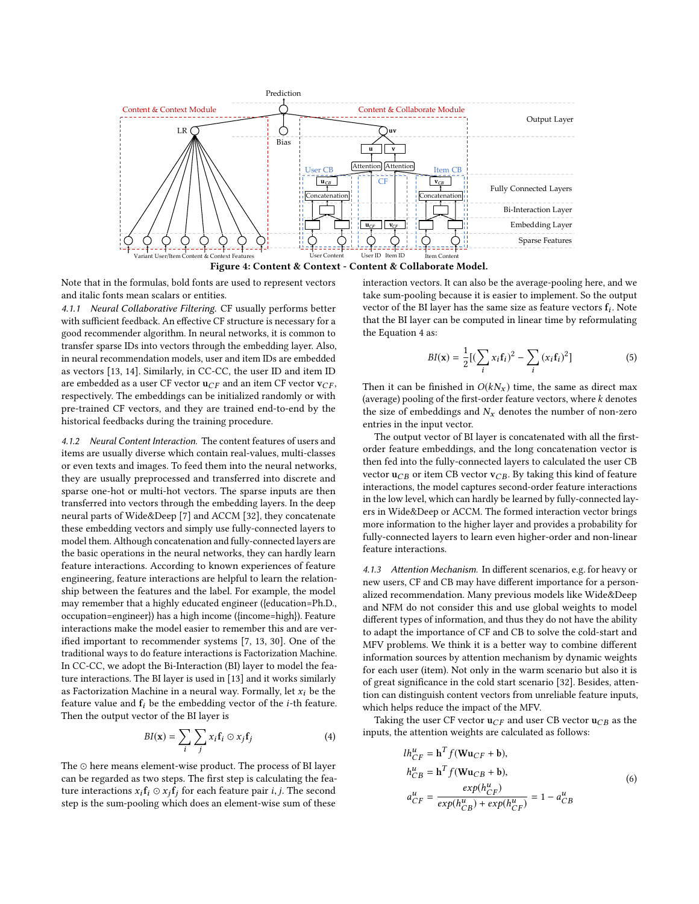<span id="page-4-0"></span>

Figure 4: Content & Context - Content & Collaborate Model.

Note that in the formulas, bold fonts are used to represent vectors and italic fonts mean scalars or entities.

4.1.1 Neural Collaborative Filtering. CF usually performs better with sufficient feedback. An effective CF structure is necessary for a good recommender algorithm. In neural networks, it is common to transfer sparse IDs into vectors through the embedding layer. Also, in neural recommendation models, user and item IDs are embedded as vectors [\[13,](#page-9-5) [14\]](#page-9-15). Similarly, in CC-CC, the user ID and item ID are embedded as a user CF vector  $\mathbf{u}_{CF}$  and an item CF vector  $\mathbf{v}_{CF}$ , respectively. The embeddings can be initialized randomly or with pre-trained CF vectors, and they are trained end-to-end by the historical feedbacks during the training procedure.

4.1.2 Neural Content Interaction. The content features of users and items are usually diverse which contain real-values, multi-classes or even texts and images. To feed them into the neural networks, they are usually preprocessed and transferred into discrete and sparse one-hot or multi-hot vectors. The sparse inputs are then transferred into vectors through the embedding layers. In the deep neural parts of Wide&Deep [\[7\]](#page-9-4) and ACCM [\[32\]](#page-9-7), they concatenate these embedding vectors and simply use fully-connected layers to model them. Although concatenation and fully-connected layers are the basic operations in the neural networks, they can hardly learn feature interactions. According to known experiences of feature engineering, feature interactions are helpful to learn the relationship between the features and the label. For example, the model may remember that a highly educated engineer ({education=Ph.D., occupation=engineer}) has a high income ({income=high}). Feature interactions make the model easier to remember this and are verified important to recommender systems [\[7,](#page-9-4) [13,](#page-9-5) [30\]](#page-9-30). One of the traditional ways to do feature interactions is Factorization Machine. In CC-CC, we adopt the Bi-Interaction (BI) layer to model the feature interactions. The BI layer is used in [\[13\]](#page-9-5) and it works similarly as Factorization Machine in a neural way. Formally, let  $x_i$  be the feature value and  $f_i$  be the embedding vector of the  $i$ -th feature. Then the output vector of the BI layer is

<span id="page-4-1"></span>
$$
BI(\mathbf{x}) = \sum_{i} \sum_{j} x_i \mathbf{f}_i \odot x_j \mathbf{f}_j \tag{4}
$$

The ⊙ here means element-wise product. The process of BI layer can be regarded as two steps. The first step is calculating the feature interactions  $x_i f_i \odot x_j f_j$  for each feature pair *i*, *j*. The second step is the sum-pooling which does an element-wise sum of these

interaction vectors. It can also be the average-pooling here, and we take sum-pooling because it is easier to implement. So the output vector of the BI layer has the same size as feature vectors  $f_i$ . Note<br>that the BI layer can be computed in linear time by reformulating that the BI layer can be computed in linear time by reformulating the Equation [4](#page-4-1) as:

$$
BI(\mathbf{x}) = \frac{1}{2} [(\sum_{i} x_i \mathbf{f}_i)^2 - \sum_{i} (x_i \mathbf{f}_i)^2]
$$
(5)

Then it can be finished in  $O(kN_x)$  time, the same as direct max (average) pooling of the first-order feature vectors, where k denotes the size of embeddings and  $N_x$  denotes the number of non-zero entries in the input vector.

The output vector of BI layer is concatenated with all the firstorder feature embeddings, and the long concatenation vector is then fed into the fully-connected layers to calculated the user CB vector  $\mathbf{u}_{CB}$  or item CB vector  $\mathbf{v}_{CB}$ . By taking this kind of feature interactions, the model captures second-order feature interactions in the low level, which can hardly be learned by fully-connected layers in Wide&Deep or ACCM. The formed interaction vector brings more information to the higher layer and provides a probability for fully-connected layers to learn even higher-order and non-linear feature interactions.

4.1.3 Attention Mechanism. In different scenarios, e.g. for heavy or new users, CF and CB may have different importance for a personalized recommendation. Many previous models like Wide&Deep and NFM do not consider this and use global weights to model different types of information, and thus they do not have the ability to adapt the importance of CF and CB to solve the cold-start and MFV problems. We think it is a better way to combine different information sources by attention mechanism by dynamic weights for each user (item). Not only in the warm scenario but also it is of great significance in the cold start scenario [\[32\]](#page-9-7). Besides, attention can distinguish content vectors from unreliable feature inputs, which helps reduce the impact of the MFV.

Taking the user CF vector  $\mathbf{u}_{CF}$  and user CB vector  $\mathbf{u}_{CB}$  as the inputs, the attention weights are calculated as follows:

$$
lh_{CF}^u = \mathbf{h}^T f(\mathbf{W} \mathbf{u}_{CF} + \mathbf{b}),
$$
  
\n
$$
h_{CB}^u = \mathbf{h}^T f(\mathbf{W} \mathbf{u}_{CB} + \mathbf{b}),
$$
  
\n
$$
a_{CF}^u = \frac{\exp(h_{CF}^u)}{\exp(h_{CB}^u) + \exp(h_{CF}^u)} = 1 - a_{CB}^u
$$
  
\n(6)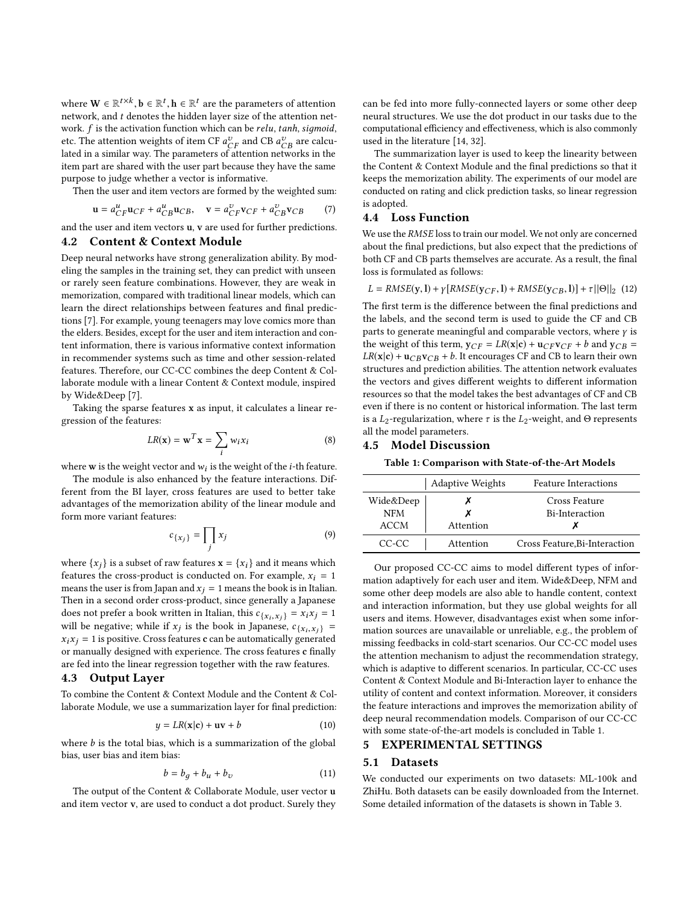where  $\mathbf{W} \in \mathbb{R}^{t \times k}$ ,  $\mathbf{b} \in \mathbb{R}^{t}$ ,  $\mathbf{h} \in \mathbb{R}^{t}$  are the parameters of attention network and t denotes the hidden layer size of the attention network. network, and t denotes the hidden layer size of the attention network.  $f$  is the activation function which can be  $relu$ ,  $tanh$ ,  $sigmoid$ , etc. The attention weights of item CF  $a_{CF}^v$  and CB  $a_{CB}^v$  are calcu-<br>lated in a similar way. The parameters of attention networks in the lated in a similar way. The parameters of attention networks in the item part are shared with the user part because they have the same purpose to judge whether a vector is informative.

Then the user and item vectors are formed by the weighted sum:

$$
\mathbf{u} = a_{CF}^{u}\mathbf{u}_{CF} + a_{CB}^{u}\mathbf{u}_{CB}, \quad \mathbf{v} = a_{CF}^{v}\mathbf{v}_{CF} + a_{CB}^{v}\mathbf{v}_{CB} \tag{7}
$$
\nand the user and item vectors **u**, **v** are used for further predictions.

# 4.2 Content & Context Module

Deep neural networks have strong generalization ability. By modeling the samples in the training set, they can predict with unseen or rarely seen feature combinations. However, they are weak in memorization, compared with traditional linear models, which can learn the direct relationships between features and final predictions [\[7\]](#page-9-4). For example, young teenagers may love comics more than the elders. Besides, except for the user and item interaction and content information, there is various informative context information in recommender systems such as time and other session-related features. Therefore, our CC-CC combines the deep Content & Collaborate module with a linear Content & Context module, inspired by Wide&Deep [\[7\]](#page-9-4).

Taking the sparse features x as input, it calculates a linear regression of the features:

$$
LR(\mathbf{x}) = \mathbf{w}^T \mathbf{x} = \sum_i w_i x_i \tag{8}
$$

where **w** is the weight vector and  $w_i$  is the weight of the *i*-th feature.<br>The module is also enhanced by the feature interactions. Dif-

The module is also enhanced by the feature interactions. Different from the BI layer, cross features are used to better take advantages of the memorization ability of the linear module and form more variant features:

$$
c_{\{x_j\}} = \prod_j x_j \tag{9}
$$

where  $\{x_j\}$  is a subset of raw features  $\mathbf{x} = \{x_i\}$  and it means which features the cross-product is conducted on For example  $x_i = 1$ features the cross-product is conducted on. For example,  $x_i = 1$ means the user is from Japan and  $x_j = 1$  means the book is in Italian. Then in a second order cross-product, since generally a Japanese does not prefer a book written in Italian, this  $c_{\{x_i, x_j\}} = x_i x_j = 1$ <br>will be negative; while if x, is the book in Innance  $c_i \rightarrow -1$ will be negative; while if  $x_j$  is the book in Japanese,  $c_{\{x_i, x_j\}} = x_i x_j - 1$  is negative. Cross features c can be automatically generated  $x_i x_j = 1$  is positive. Cross features c can be automatically generated or manually designed with experience. The cross features c finally are fed into the linear regression together with the raw features.

## 4.3 Output Layer

To combine the Content & Context Module and the Content & Collaborate Module, we use a summarization layer for final prediction:

$$
y = LR(\mathbf{x}|\mathbf{c}) + \mathbf{u}\mathbf{v} + b \tag{10}
$$

where  $b$  is the total bias, which is a summarization of the global bias, user bias and item bias:

$$
b = b_g + b_u + b_v \tag{11}
$$

The output of the Content & Collaborate Module, user vector u and item vector v, are used to conduct a dot product. Surely they can be fed into more fully-connected layers or some other deep neural structures. We use the dot product in our tasks due to the computational efficiency and effectiveness, which is also commonly used in the literature [\[14,](#page-9-15) [32\]](#page-9-7).

The summarization layer is used to keep the linearity between the Content & Context Module and the final predictions so that it keeps the memorization ability. The experiments of our model are conducted on rating and click prediction tasks, so linear regression is adopted.

## 4.4 Loss Function

We use the RMSE loss to train our model. We not only are concerned about the final predictions, but also expect that the predictions of both CF and CB parts themselves are accurate. As a result, the final loss is formulated as follows:

$$
L = RMSE(\mathbf{y}, \mathbf{l}) + \gamma [RMSE(\mathbf{y}_{CF}, \mathbf{l}) + RMSE(\mathbf{y}_{CB}, \mathbf{l})] + \tau ||\Theta||_2 \tag{12}
$$

The first term is the difference between the final predictions and the labels, and the second term is used to guide the CF and CB parts to generate meaningful and comparable vectors, where  $\gamma$  is the weight of this term,  $y_{CF} = LR(x|c) + u_{CF}v_{CF} + b$  and  $y_{CB} =$  $LR(x|c) + u_{CB}v_{CB} + b$ . It encourages CF and CB to learn their own structures and prediction abilities. The attention network evaluates the vectors and gives different weights to different information resources so that the model takes the best advantages of CF and CB even if there is no content or historical information. The last term is a L<sub>2</sub>-regularization, where  $\tau$  is the L<sub>2</sub>-weight, and  $\Theta$  represents all the model parameters.

## 4.5 Model Discussion

Table 1: Comparison with State-of-the-Art Models

<span id="page-5-0"></span>

| Adaptive Weights |           | <b>Feature Interactions</b>   |  |  |
|------------------|-----------|-------------------------------|--|--|
| Wide&Deep        |           | Cross Feature                 |  |  |
| <b>NFM</b>       |           | Bi-Interaction                |  |  |
| <b>ACCM</b>      | Attention |                               |  |  |
| CC-CC            | Attention | Cross Feature, Bi-Interaction |  |  |

Our proposed CC-CC aims to model different types of information adaptively for each user and item. Wide&Deep, NFM and some other deep models are also able to handle content, context and interaction information, but they use global weights for all users and items. However, disadvantages exist when some information sources are unavailable or unreliable, e.g., the problem of missing feedbacks in cold-start scenarios. Our CC-CC model uses the attention mechanism to adjust the recommendation strategy, which is adaptive to different scenarios. In particular, CC-CC uses Content & Context Module and Bi-Interaction layer to enhance the utility of content and context information. Moreover, it considers the feature interactions and improves the memorization ability of deep neural recommendation models. Comparison of our CC-CC with some state-of-the-art models is concluded in Table [1.](#page-5-0)

#### 5 EXPERIMENTAL SETTINGS

#### 5.1 Datasets

We conducted our experiments on two datasets: ML-100k and ZhiHu. Both datasets can be easily downloaded from the Internet. Some detailed information of the datasets is shown in Table [3.](#page-6-0)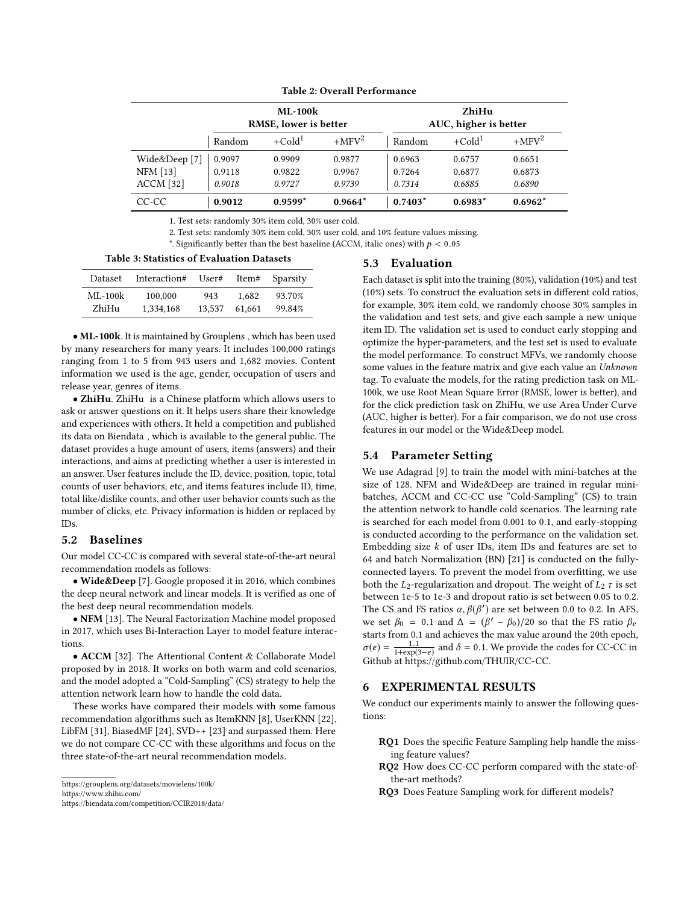<span id="page-6-4"></span>

|                                                 | <b>ML-100k</b><br>RMSE, lower is better |                            |                            | ZhiHu<br>AUC, higher is better |                            |                            |
|-------------------------------------------------|-----------------------------------------|----------------------------|----------------------------|--------------------------------|----------------------------|----------------------------|
|                                                 | Random                                  | $+Cold1$                   | $+MFV2$                    | Random                         | $+Cold1$                   | $+MFV2$                    |
| Wide&Deep [7]<br><b>NFM</b> [13]<br>$ACCM$ [32] | 0.9097<br>0.9118<br>0.9018              | 0.9909<br>0.9822<br>0.9727 | 0.9877<br>0.9967<br>0.9739 | 0.6963<br>0.7264<br>0.7314     | 0.6757<br>0.6877<br>0.6885 | 0.6651<br>0.6873<br>0.6890 |
| CC-CC                                           | 0.9012                                  | $0.9599*$                  | $0.9664*$                  | $0.7403*$                      | $0.6983*$                  | $0.6962*$                  |

Table 2: Overall Performance

1. Test sets: randomly 30% item cold, 30% user cold.

2. Test sets: randomly 30% item cold, 30% user cold, and 10% feature values missing.

\*. Significantly better than the best baseline (ACCM, italic ones) with  $p < 0.05$ 

#### Table 3: Statistics of Evaluation Datasets

<span id="page-6-0"></span>

| <b>Dataset</b> | Interaction# | User#  | Item#  | Sparsity |
|----------------|--------------|--------|--------|----------|
| $ML-100k$      | 100,000      | 943    | 1.682  | 93.70%   |
| ZhiHu          | 1,334,168    | 13.537 | 61.661 | 99.84%   |

• ML-100k. It is maintained by Grouplens [,](#page-6-1) which has been used by many researchers for many years. It includes 100,000 ratings ranging from 1 to 5 from 943 users and 1,682 movies. Content information we used is the age, gender, occupation of users and release year, genres of items.

• ZhiHu. ZhiHu is a Chinese platform which allows users to ask or answer questions on it. It helps users share their knowledge and experiences with others. It held a competition and published its data on Biendata [,](#page-6-3) which is available to the general public. The dataset provides a huge amount of users, items (answers) and their interactions, and aims at predicting whether a user is interested in an answer. User features include the ID, device, position, topic, total counts of user behaviors, etc, and items features include ID, time, total like/dislike counts, and other user behavior counts such as the number of clicks, etc. Privacy information is hidden or replaced by IDs.

#### 5.2 Baselines

Our model CC-CC is compared with several state-of-the-art neural recommendation models as follows:

• Wide&Deep [\[7\]](#page-9-4). Google proposed it in 2016, which combines the deep neural network and linear models. It is verified as one of the best deep neural recommendation models.

• NFM [\[13\]](#page-9-5). The Neural Factorization Machine model proposed in 2017, which uses Bi-Interaction Layer to model feature interactions.

• ACCM [\[32\]](#page-9-7). The Attentional Content & Collaborate Model proposed by in 2018. It works on both warm and cold scenarios, and the model adopted a "Cold-Sampling" (CS) strategy to help the attention network learn how to handle the cold data.

These works have compared their models with some famous recommendation algorithms such as ItemKNN [\[8\]](#page-9-31), UserKNN [\[22\]](#page-9-32), LibFM [\[31\]](#page-9-33), BiasedMF [\[24\]](#page-9-34), SVD++ [\[23\]](#page-9-35) and surpassed them. Here we do not compare CC-CC with these algorithms and focus on the three state-of-the-art neural recommendation models.

#### 5.3 Evaluation

Each dataset is split into the training (80%), validation (10%) and test (10%) sets. To construct the evaluation sets in different cold ratios, for example, 30% item cold, we randomly choose 30% samples in the validation and test sets, and give each sample a new unique item ID. The validation set is used to conduct early stopping and optimize the hyper-parameters, and the test set is used to evaluate the model performance. To construct MFVs, we randomly choose some values in the feature matrix and give each value an Unknown tag. To evaluate the models, for the rating prediction task on ML-100k, we use Root Mean Square Error (RMSE, lower is better), and for the click prediction task on ZhiHu, we use Area Under Curve (AUC, higher is better). For a fair comparison, we do not use cross features in our model or the Wide&Deep model.

## 5.4 Parameter Setting

We use Adagrad [\[9\]](#page-9-36) to train the model with mini-batches at the size of 128. NFM and Wide&Deep are trained in regular minibatches, ACCM and CC-CC use "Cold-Sampling" (CS) to train the attention network to handle cold scenarios. The learning rate is searched for each model from 0.001 to 0.1, and early-stopping is conducted according to the performance on the validation set. Embedding size  $k$  of user IDs, item IDs and features are set to 64 and batch Normalization (BN) [\[21\]](#page-9-37) is conducted on the fullyconnected layers. To prevent the model from overfitting, we use both the  $L_2$ -regularization and dropout. The weight of  $L_2 \tau$  is set between 1e-5 to 1e-3 and dropout ratio is set between 0.05 to 0.2. The CS and FS ratios  $\alpha$ ,  $\beta(\beta')$  are set between 0.0 to 0.2. In AFS,<br>we set  $\beta_0 = 0.1$  and  $\Delta = (\beta' - \beta_0)/20$  so that the FS ratio  $\beta$ . we set  $\beta_0 = 0.1$  and  $\Delta = (\beta' - \beta_0)/20$  so that the FS ratio  $\beta_e$ <br>starts from 0.1 and achieves the may value around the 20th enoch starts from 0.1 and achieves the max value around the 20th epoch,  $\sigma(e) = \frac{1.1}{1 + \exp(3 - e)}$  and  $\delta = 0.1$ . We provide the codes for CC-CC in  $\sigma(\epsilon) = \frac{1}{1+\exp(3-\epsilon)}$  and  $\sigma = 0.1$ . We provide the Github at [https://github.com/THUIR/CC-CC.](https://github.com/THUIR/CC-CC)

## 6 EXPERIMENTAL RESULTS

We conduct our experiments mainly to answer the following questions:

- RQ1 Does the specific Feature Sampling help handle the missing feature values?
- RQ2 How does CC-CC perform compared with the state-ofthe-art methods?
- RQ3 Does Feature Sampling work for different models?

<span id="page-6-1"></span><https://grouplens.org/datasets/movielens/100k/>

<span id="page-6-2"></span><https://www.zhihu.com/>

<span id="page-6-3"></span><https://biendata.com/competition/CCIR2018/data/>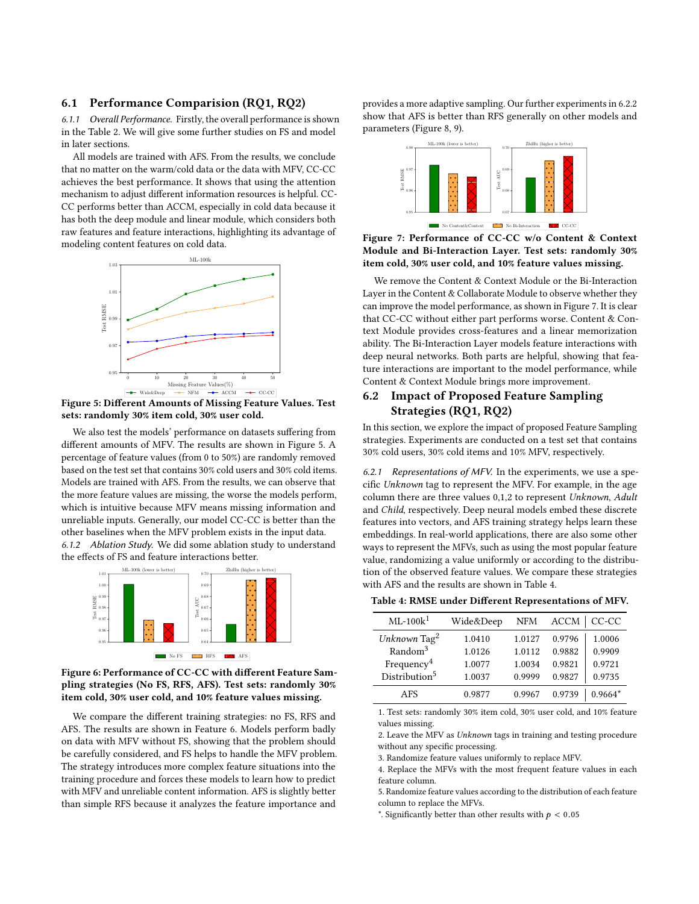#### 6.1 Performance Comparision (RQ1, RQ2)

6.1.1 Overall Performance. Firstly, the overall performance is shown in the Table [2.](#page-6-4) We will give some further studies on FS and model in later sections.

All models are trained with AFS. From the results, we conclude that no matter on the warm/cold data or the data with MFV, CC-CC achieves the best performance. It shows that using the attention mechanism to adjust different information resources is helpful. CC-CC performs better than ACCM, especially in cold data because it has both the deep module and linear module, which considers both raw features and feature interactions, highlighting its advantage of modeling content features on cold data.

<span id="page-7-0"></span>

Figure 5: Different Amounts of Missing Feature Values. Test sets: randomly 30% item cold, 30% user cold.

We also test the models' performance on datasets suffering from different amounts of MFV. The results are shown in Figure [5.](#page-7-0) A percentage of feature values (from 0 to 50%) are randomly removed based on the test set that contains 30% cold users and 30% cold items. Models are trained with AFS. From the results, we can observe that the more feature values are missing, the worse the models perform, which is intuitive because MFV means missing information and unreliable inputs. Generally, our model CC-CC is better than the other baselines when the MFV problem exists in the input data. 6.1.2 Ablation Study. We did some ablation study to understand the effects of FS and feature interactions better.

<span id="page-7-1"></span>

Figure 6: Performance of CC-CC with different Feature Sampling strategies (No FS, RFS, AFS). Test sets: randomly 30% item cold, 30% user cold, and 10% feature values missing.

We compare the different training strategies: no FS, RFS and AFS. The results are shown in Feature [6.](#page-7-1) Models perform badly on data with MFV without FS, showing that the problem should be carefully considered, and FS helps to handle the MFV problem. The strategy introduces more complex feature situations into the training procedure and forces these models to learn how to predict with MFV and unreliable content information. AFS is slightly better than simple RFS because it analyzes the feature importance and

provides a more adaptive sampling. Our further experiments in [6.2.2](#page-8-0) show that AFS is better than RFS generally on other models and parameters (Figure [8,](#page-8-1) [9\)](#page-8-2).

<span id="page-7-2"></span>

Figure 7: Performance of CC-CC w/o Content & Context Module and Bi-Interaction Layer. Test sets: randomly 30% item cold, 30% user cold, and 10% feature values missing.

We remove the Content & Context Module or the Bi-Interaction Layer in the Content & Collaborate Module to observe whether they can improve the model performance, as shown in Figure [7.](#page-7-2) It is clear that CC-CC without either part performs worse. Content & Context Module provides cross-features and a linear memorization ability. The Bi-Interaction Layer models feature interactions with deep neural networks. Both parts are helpful, showing that feature interactions are important to the model performance, while Content & Context Module brings more improvement.

# 6.2 Impact of Proposed Feature Sampling Strategies (RQ1, RQ2)

In this section, we explore the impact of proposed Feature Sampling strategies. Experiments are conducted on a test set that contains 30% cold users, 30% cold items and 10% MFV, respectively.

6.2.1 Representations of MFV. In the experiments, we use a specific Unknown tag to represent the MFV. For example, in the age column there are three values 0,1,2 to represent Unknown, Adult and Child, respectively. Deep neural models embed these discrete features into vectors, and AFS training strategy helps learn these embeddings. In real-world applications, there are also some other ways to represent the MFVs, such as using the most popular feature value, randomizing a value uniformly or according to the distribution of the observed feature values. We compare these strategies with AFS and the results are shown in Table [4.](#page-7-3)

<span id="page-7-3"></span>Table 4: RMSE under Different Representations of MFV.

| $ML-100k1$                | Wide&Deep | <b>NFM</b> | ACCM   | CC-CC     |
|---------------------------|-----------|------------|--------|-----------|
| Unknown Tag <sup>2</sup>  | 1.0410    | 1.0127     | 0.9796 | 1.0006    |
| Random <sup>3</sup>       | 1.0126    | 1.0112     | 0.9882 | 0.9909    |
| Frequency <sup>4</sup>    | 1.0077    | 1.0034     | 0.9821 | 0.9721    |
| Distribution <sup>5</sup> | 1.0037    | 0.9999     | 0.9827 | 0.9735    |
| <b>AFS</b>                | 0.9877    | 0.9967     | 0.9739 | $0.9664*$ |

1. Test sets: randomly 30% item cold, 30% user cold, and 10% feature values missing.

2. Leave the MFV as Unknown tags in training and testing procedure without any specific processing.

3. Randomize feature values uniformly to replace MFV.

4. Replace the MFVs with the most frequent feature values in each feature column.

5. Randomize feature values according to the distribution of each feature column to replace the MFVs.

\*. Significantly better than other results with  $p < 0.05$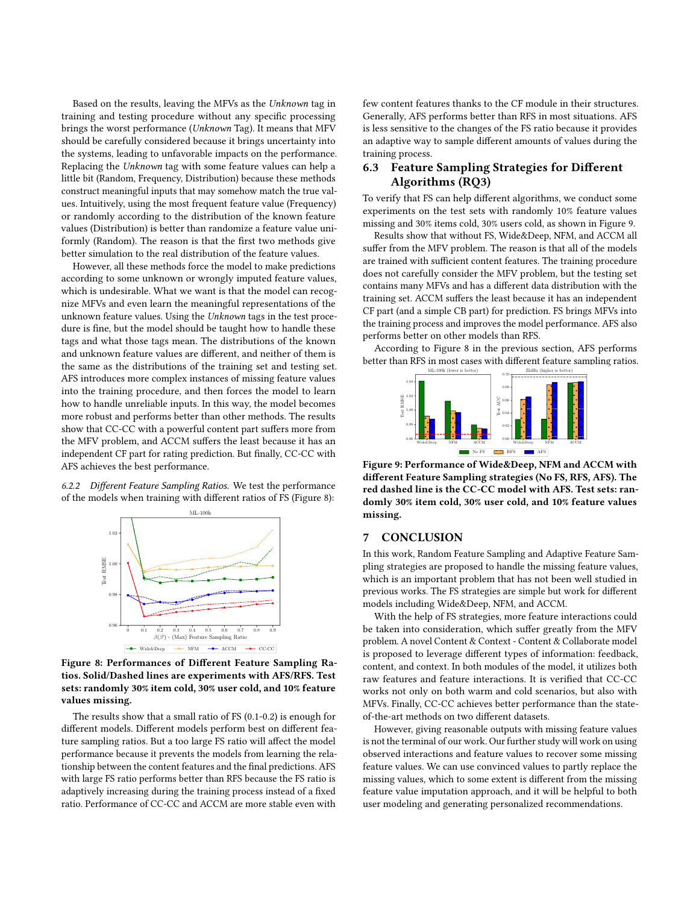Based on the results, leaving the MFVs as the Unknown tag in training and testing procedure without any specific processing brings the worst performance (Unknown Tag). It means that MFV should be carefully considered because it brings uncertainty into the systems, leading to unfavorable impacts on the performance. Replacing the Unknown tag with some feature values can help a little bit (Random, Frequency, Distribution) because these methods construct meaningful inputs that may somehow match the true values. Intuitively, using the most frequent feature value (Frequency) or randomly according to the distribution of the known feature values (Distribution) is better than randomize a feature value uniformly (Random). The reason is that the first two methods give better simulation to the real distribution of the feature values.

However, all these methods force the model to make predictions according to some unknown or wrongly imputed feature values, which is undesirable. What we want is that the model can recognize MFVs and even learn the meaningful representations of the unknown feature values. Using the Unknown tags in the test procedure is fine, but the model should be taught how to handle these tags and what those tags mean. The distributions of the known and unknown feature values are different, and neither of them is the same as the distributions of the training set and testing set. AFS introduces more complex instances of missing feature values into the training procedure, and then forces the model to learn how to handle unreliable inputs. In this way, the model becomes more robust and performs better than other methods. The results show that CC-CC with a powerful content part suffers more from the MFV problem, and ACCM suffers the least because it has an independent CF part for rating prediction. But finally, CC-CC with AFS achieves the best performance.

<span id="page-8-0"></span>6.2.2 Different Feature Sampling Ratios. We test the performance of the models when training with different ratios of FS (Figure [8\)](#page-8-1):

<span id="page-8-1"></span>

Figure 8: Performances of Different Feature Sampling Ratios. Solid/Dashed lines are experiments with AFS/RFS. Test sets: randomly 30% item cold, 30% user cold, and 10% feature values missing.

The results show that a small ratio of FS (0.1-0.2) is enough for different models. Different models perform best on different feature sampling ratios. But a too large FS ratio will affect the model performance because it prevents the models from learning the relationship between the content features and the final predictions. AFS with large FS ratio performs better than RFS because the FS ratio is adaptively increasing during the training process instead of a fixed ratio. Performance of CC-CC and ACCM are more stable even with

few content features thanks to the CF module in their structures. Generally, AFS performs better than RFS in most situations. AFS is less sensitive to the changes of the FS ratio because it provides an adaptive way to sample different amounts of values during the training process.

# 6.3 Feature Sampling Strategies for Different Algorithms (RQ3)

To verify that FS can help different algorithms, we conduct some experiments on the test sets with randomly 10% feature values missing and 30% items cold, 30% users cold, as shown in Figure [9.](#page-8-2)

Results show that without FS, Wide&Deep, NFM, and ACCM all suffer from the MFV problem. The reason is that all of the models are trained with sufficient content features. The training procedure does not carefully consider the MFV problem, but the testing set contains many MFVs and has a different data distribution with the training set. ACCM suffers the least because it has an independent CF part (and a simple CB part) for prediction. FS brings MFVs into the training process and improves the model performance. AFS also performs better on other models than RFS.

<span id="page-8-2"></span>According to Figure [8](#page-8-1) in the previous section, AFS performs better than RFS in most cases with different feature sampling ratios.



Figure 9: Performance of Wide&Deep, NFM and ACCM with different Feature Sampling strategies (No FS, RFS, AFS). The red dashed line is the CC-CC model with AFS. Test sets: randomly 30% item cold, 30% user cold, and 10% feature values missing.

#### 7 CONCLUSION

In this work, Random Feature Sampling and Adaptive Feature Sampling strategies are proposed to handle the missing feature values, which is an important problem that has not been well studied in previous works. The FS strategies are simple but work for different models including Wide&Deep, NFM, and ACCM.

With the help of FS strategies, more feature interactions could be taken into consideration, which suffer greatly from the MFV problem. A novel Content & Context - Content & Collaborate model is proposed to leverage different types of information: feedback, content, and context. In both modules of the model, it utilizes both raw features and feature interactions. It is verified that CC-CC works not only on both warm and cold scenarios, but also with MFVs. Finally, CC-CC achieves better performance than the stateof-the-art methods on two different datasets.

However, giving reasonable outputs with missing feature values is not the terminal of our work. Our further study will work on using observed interactions and feature values to recover some missing feature values. We can use convinced values to partly replace the missing values, which to some extent is different from the missing feature value imputation approach, and it will be helpful to both user modeling and generating personalized recommendations.